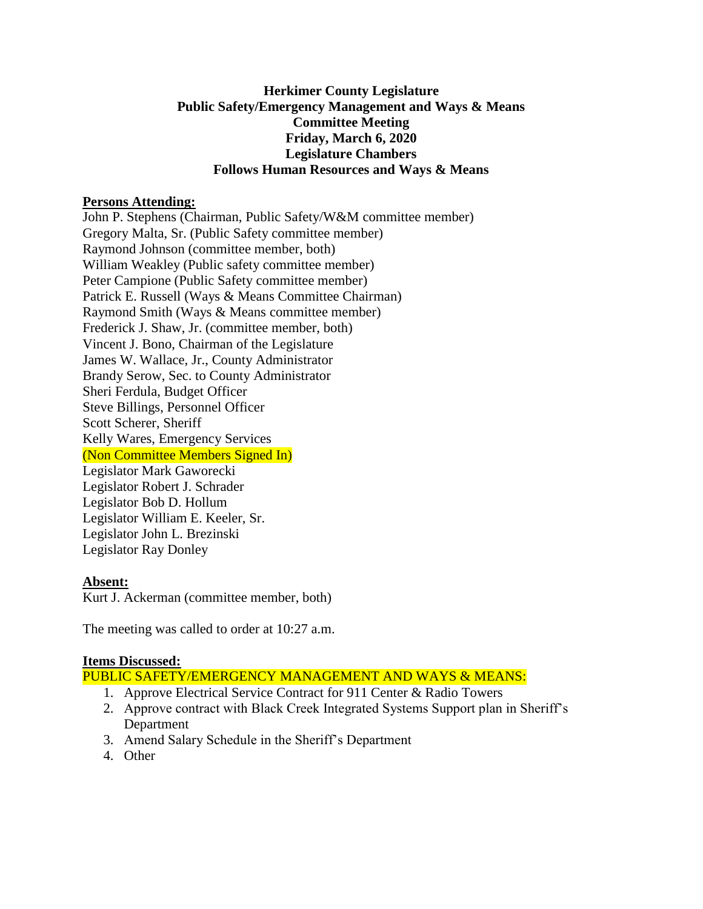### **Herkimer County Legislature Public Safety/Emergency Management and Ways & Means Committee Meeting Friday, March 6, 2020 Legislature Chambers Follows Human Resources and Ways & Means**

#### **Persons Attending:**

John P. Stephens (Chairman, Public Safety/W&M committee member) Gregory Malta, Sr. (Public Safety committee member) Raymond Johnson (committee member, both) William Weakley (Public safety committee member) Peter Campione (Public Safety committee member) Patrick E. Russell (Ways & Means Committee Chairman) Raymond Smith (Ways & Means committee member) Frederick J. Shaw, Jr. (committee member, both) Vincent J. Bono, Chairman of the Legislature James W. Wallace, Jr., County Administrator Brandy Serow, Sec. to County Administrator Sheri Ferdula, Budget Officer Steve Billings, Personnel Officer Scott Scherer, Sheriff Kelly Wares, Emergency Services (Non Committee Members Signed In) Legislator Mark Gaworecki Legislator Robert J. Schrader Legislator Bob D. Hollum Legislator William E. Keeler, Sr. Legislator John L. Brezinski Legislator Ray Donley

# **Absent:**

Kurt J. Ackerman (committee member, both)

The meeting was called to order at 10:27 a.m.

# **Items Discussed:**

PUBLIC SAFETY/EMERGENCY MANAGEMENT AND WAYS & MEANS:

- 1. Approve Electrical Service Contract for 911 Center & Radio Towers
- 2. Approve contract with Black Creek Integrated Systems Support plan in Sheriff's Department
- 3. Amend Salary Schedule in the Sheriff's Department
- 4. Other